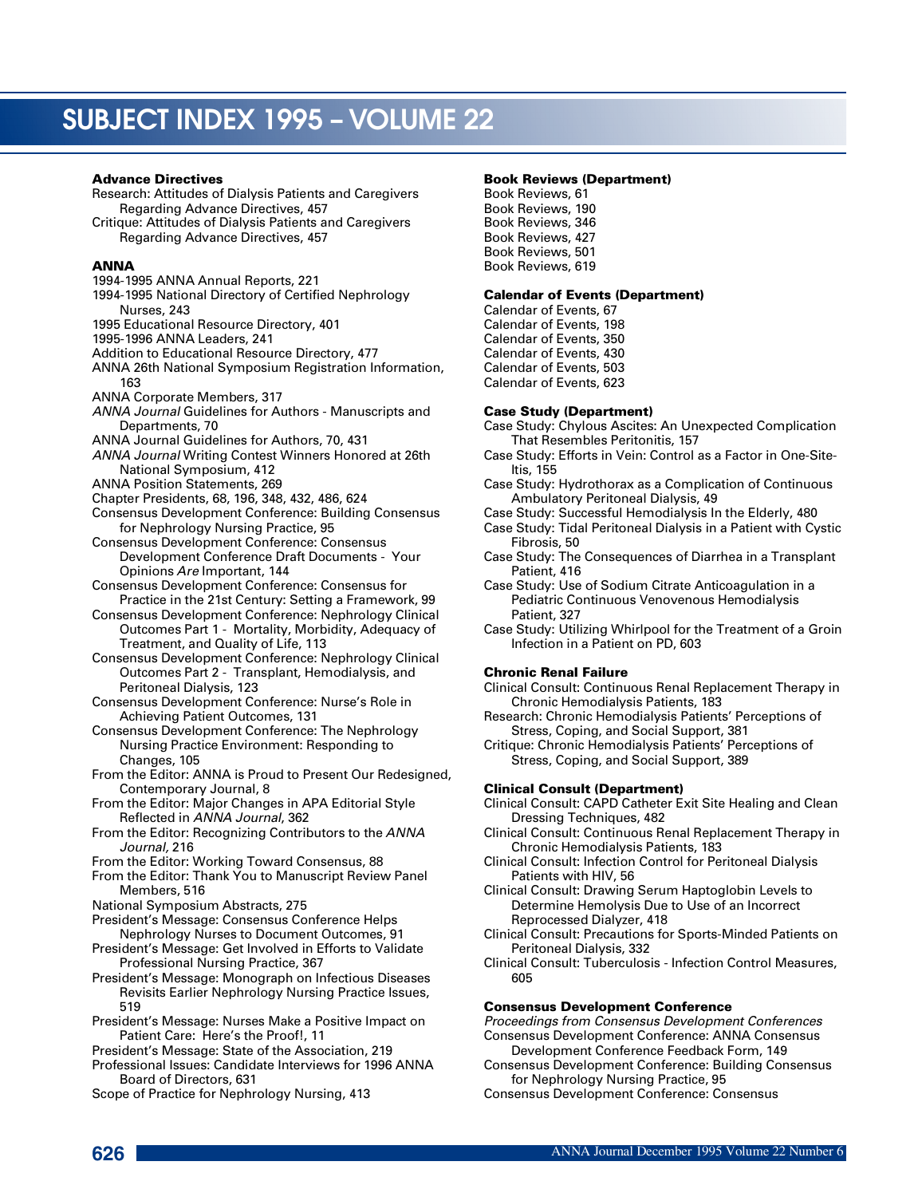#### Advance Directives

Research: Attitudes of Dialysis Patients and Caregivers Regarding Advance Directives, 457 Critique: Attitudes of Dialysis Patients and Caregivers Regarding Advance Directives, 457

## **ANNA**

- 1994-1995 ANNA Annual Reports, 221
- 1994-1995 National Directory of Certified Nephrology Nurses, 243
- 1995 Educational Resource Directory, 401
- 1995-1996 ANNA Leaders, 241
- Addition to Educational Resource Directory, 477
- ANNA 26th National Symposium Registration Information, 163
- ANNA Corporate Members, 317
- *ANNA Journal* Guidelines for Authors Manuscripts and Departments, 70
- ANNA Journal Guidelines for Authors, 70, 431
- *ANNA Journal* Writing Contest Winners Honored at 26th National Symposium, 412
- ANNA Position Statements, 269
- Chapter Presidents, 68, 196, 348, 432, 486, 624
- Consensus Development Conference: Building Consensus for Nephrology Nursing Practice, 95
- Consensus Development Conference: Consensus Development Conference Draft Documents - Your Opinions *Are* Important, 144
- Consensus Development Conference: Consensus for Practice in the 21st Century: Setting a Framework, 99
- Consensus Development Conference: Nephrology Clinical Outcomes Part 1 - Mortality, Morbidity, Adequacy of Treatment, and Quality of Life, 113
- Consensus Development Conference: Nephrology Clinical Outcomes Part 2 - Transplant, Hemodialysis, and Peritoneal Dialysis, 123
- Consensus Development Conference: Nurse's Role in Achieving Patient Outcomes, 131
- Consensus Development Conference: The Nephrology Nursing Practice Environment: Responding to Changes, 105
- From the Editor: ANNA is Proud to Present Our Redesigned, Contemporary Journal, 8
- From the Editor: Major Changes in APA Editorial Style Reflected in *ANNA Journal*, 362
- From the Editor: Recognizing Contributors to the *ANNA Journal*, 216
- From the Editor: Working Toward Consensus, 88
- From the Editor: Thank You to Manuscript Review Panel Members, 516
- National Symposium Abstracts, 275
- President's Message: Consensus Conference Helps Nephrology Nurses to Document Outcomes, 91
- President's Message: Get Involved in Efforts to Validate Professional Nursing Practice, 367
- President's Message: Monograph on Infectious Diseases Revisits Earlier Nephrology Nursing Practice Issues, 519
- President's Message: Nurses Make a Positive Impact on Patient Care: Here's the Proof!, 11
- President's Message: State of the Association, 219
- Professional Issues: Candidate Interviews for 1996 ANNA Board of Directors, 631
- Scope of Practice for Nephrology Nursing, 413

#### Book Reviews (Department)

Book Reviews, 61 Book Reviews, 190 Book Reviews, 346 Book Reviews, 427 Book Reviews, 501 Book Reviews, 619

## Calendar of Events (Department)

Calendar of Events, 67 Calendar of Events, 198 Calendar of Events, 350 Calendar of Events, 430 Calendar of Events, 503 Calendar of Events, 623

## Case Study (Department)

- Case Study: Chylous Ascites: An Unexpected Complication That Resembles Peritonitis, 157
- Case Study: Efforts in Vein: Control as a Factor in One-Site-Itis, 155
- Case Study: Hydrothorax as a Complication of Continuous Ambulatory Peritoneal Dialysis, 49
- Case Study: Successful Hemodialysis In the Elderly, 480
- Case Study: Tidal Peritoneal Dialysis in a Patient with Cystic Fibrosis, 50
- Case Study: The Consequences of Diarrhea in a Transplant Patient, 416
- Case Study: Use of Sodium Citrate Anticoagulation in a Pediatric Continuous Venovenous Hemodialysis Patient, 327
- Case Study: Utilizing Whirlpool for the Treatment of a Groin Infection in a Patient on PD, 603

## Chronic Renal Failure

Clinical Consult: Continuous Renal Replacement Therapy in Chronic Hemodialysis Patients, 183

- Research: Chronic Hemodialysis Patients' Perceptions of Stress, Coping, and Social Support, 381
- Critique: Chronic Hemodialysis Patients' Perceptions of Stress, Coping, and Social Support, 389

# Clinical Consult (Department)

- Clinical Consult: CAPD Catheter Exit Site Healing and Clean Dressing Techniques, 482
- Clinical Consult: Continuous Renal Replacement Therapy in Chronic Hemodialysis Patients, 183
- Clinical Consult: Infection Control for Peritoneal Dialysis Patients with HIV, 56
- Clinical Consult: Drawing Serum Haptoglobin Levels to Determine Hemolysis Due to Use of an Incorrect Reprocessed Dialyzer, 418
- Clinical Consult: Precautions for Sports-Minded Patients on Peritoneal Dialysis, 332
- Clinical Consult: Tuberculosis Infection Control Measures, 605

#### Consensus Development Conference

*Proceedings from Consensus Development Conferences* Consensus Development Conference: ANNA Consensus Development Conference Feedback Form, 149

- Consensus Development Conference: Building Consensus for Nephrology Nursing Practice, 95
- Consensus Development Conference: Consensus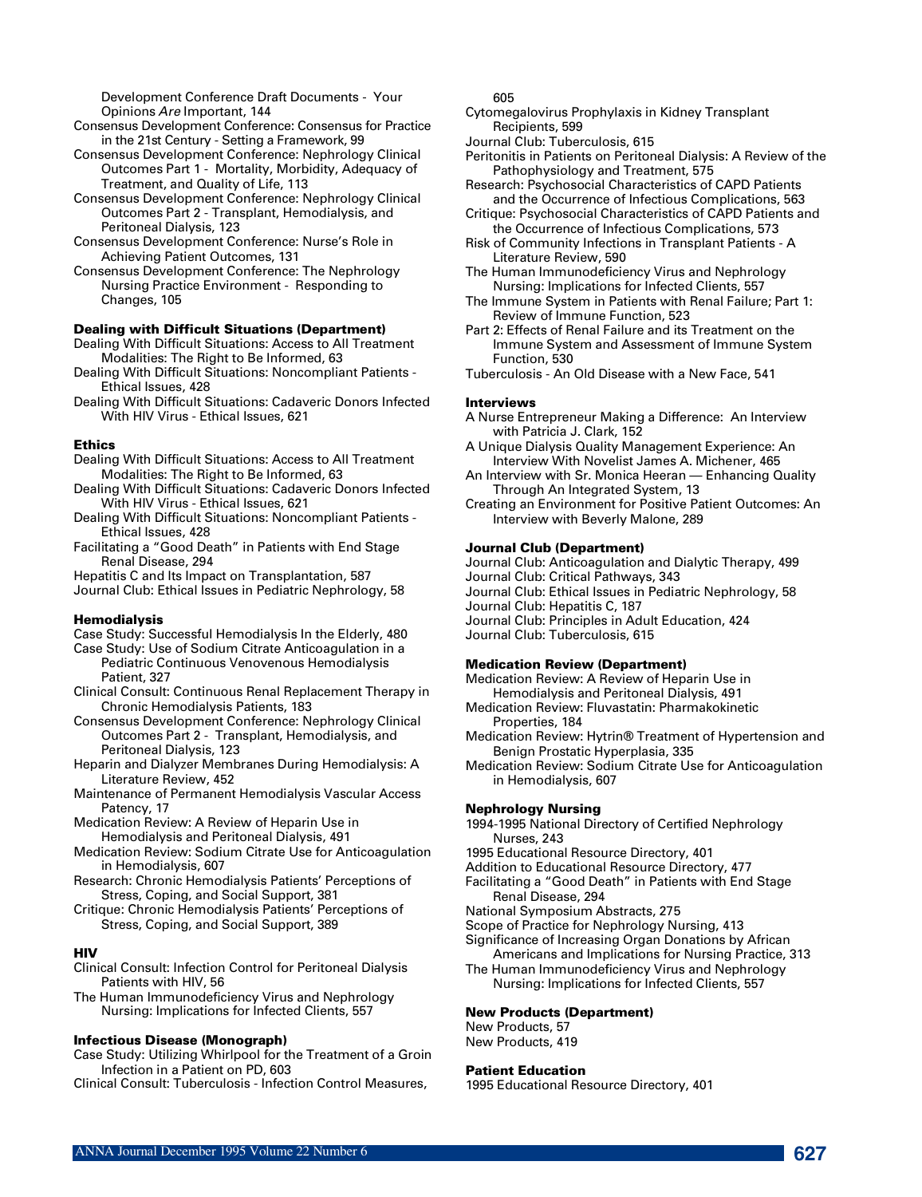Development Conference Draft Documents - Your Opinions *Are* Important, 144

Consensus Development Conference: Consensus for Practice in the 21st Century - Setting a Framework, 99

Consensus Development Conference: Nephrology Clinical Outcomes Part 1 - Mortality, Morbidity, Adequacy of Treatment, and Quality of Life, 113

- Consensus Development Conference: Nephrology Clinical Outcomes Part 2 - Transplant, Hemodialysis, and Peritoneal Dialysis, 123
- Consensus Development Conference: Nurse's Role in Achieving Patient Outcomes, 131

Consensus Development Conference: The Nephrology Nursing Practice Environment - Responding to Changes, 105

#### Dealing with Difficult Situations (Department)

Dealing With Difficult Situations: Access to All Treatment Modalities: The Right to Be Informed, 63

Dealing With Difficult Situations: Noncompliant Patients - Ethical Issues, 428

Dealing With Difficult Situations: Cadaveric Donors Infected With HIV Virus - Ethical Issues, 621

#### **Ethics**

- Dealing With Difficult Situations: Access to All Treatment Modalities: The Right to Be Informed, 63
- Dealing With Difficult Situations: Cadaveric Donors Infected With HIV Virus - Ethical Issues, 621
- Dealing With Difficult Situations: Noncompliant Patients Ethical Issues, 428
- Facilitating a "Good Death" in Patients with End Stage Renal Disease, 294

Hepatitis C and Its Impact on Transplantation, 587

Journal Club: Ethical Issues in Pediatric Nephrology, 58

# **Hemodialysis**

Case Study: Successful Hemodialysis In the Elderly, 480

- Case Study: Use of Sodium Citrate Anticoagulation in a Pediatric Continuous Venovenous Hemodialysis Patient, 327
- Clinical Consult: Continuous Renal Replacement Therapy in Chronic Hemodialysis Patients, 183
- Consensus Development Conference: Nephrology Clinical Outcomes Part 2 - Transplant, Hemodialysis, and Peritoneal Dialysis, 123
- Heparin and Dialyzer Membranes During Hemodialysis: A Literature Review, 452
- Maintenance of Permanent Hemodialysis Vascular Access Patency, 17
- Medication Review: A Review of Heparin Use in Hemodialysis and Peritoneal Dialysis, 491
- Medication Review: Sodium Citrate Use for Anticoagulation in Hemodialysis, 607
- Research: Chronic Hemodialysis Patients' Perceptions of Stress, Coping, and Social Support, 381
- Critique: Chronic Hemodialysis Patients' Perceptions of Stress, Coping, and Social Support, 389

## **HIV**

- Clinical Consult: Infection Control for Peritoneal Dialysis Patients with HIV, 56
- The Human Immunodeficiency Virus and Nephrology Nursing: Implications for Infected Clients, 557

#### Infectious Disease (Monograph)

Case Study: Utilizing Whirlpool for the Treatment of a Groin Infection in a Patient on PD, 603

Clinical Consult: Tuberculosis - Infection Control Measures,

605

Cytomegalovirus Prophylaxis in Kidney Transplant Recipients, 599

Journal Club: Tuberculosis, 615

- Peritonitis in Patients on Peritoneal Dialysis: A Review of the Pathophysiology and Treatment, 575
- Research: Psychosocial Characteristics of CAPD Patients and the Occurrence of Infectious Complications, 563
- Critique: Psychosocial Characteristics of CAPD Patients and the Occurrence of Infectious Complications, 573
- Risk of Community Infections in Transplant Patients A Literature Review, 590

The Human Immunodeficiency Virus and Nephrology Nursing: Implications for Infected Clients, 557

- The Immune System in Patients with Renal Failure; Part 1: Review of Immune Function, 523
- Part 2: Effects of Renal Failure and its Treatment on the Immune System and Assessment of Immune System Function, 530
- Tuberculosis An Old Disease with a New Face, 541

## **Interviews**

- A Nurse Entrepreneur Making a Difference: An Interview with Patricia J. Clark, 152
- A Unique Dialysis Quality Management Experience: An Interview With Novelist James A. Michener, 465
- An Interview with Sr. Monica Heeran Enhancing Quality Through An Integrated System, 13

Creating an Environment for Positive Patient Outcomes: An Interview with Beverly Malone, 289

## Journal Club (Department)

Journal Club: Anticoagulation and Dialytic Therapy, 499

- Journal Club: Critical Pathways, 343
- Journal Club: Ethical Issues in Pediatric Nephrology, 58
- Journal Club: Hepatitis C, 187
- Journal Club: Principles in Adult Education, 424
- Journal Club: Tuberculosis, 615

#### Medication Review (Department)

Medication Review: A Review of Heparin Use in Hemodialysis and Peritoneal Dialysis, 491

- Medication Review: Fluvastatin: Pharmakokinetic Properties, 184
- Medication Review: Hytrin® Treatment of Hypertension and Benign Prostatic Hyperplasia, 335
- Medication Review: Sodium Citrate Use for Anticoagulation in Hemodialysis, 607

## Nephrology Nursing

1994-1995 National Directory of Certified Nephrology Nurses, 243

1995 Educational Resource Directory, 401

Addition to Educational Resource Directory, 477

Facilitating a "Good Death" in Patients with End Stage Renal Disease, 294

National Symposium Abstracts, 275

Scope of Practice for Nephrology Nursing, 413

Significance of Increasing Organ Donations by African

- Americans and Implications for Nursing Practice, 313 The Human Immunodeficiency Virus and Nephrology
- Nursing: Implications for Infected Clients, 557

## New Products (Department)

New Products, 57 New Products, 419

#### Patient Education

1995 Educational Resource Directory, 401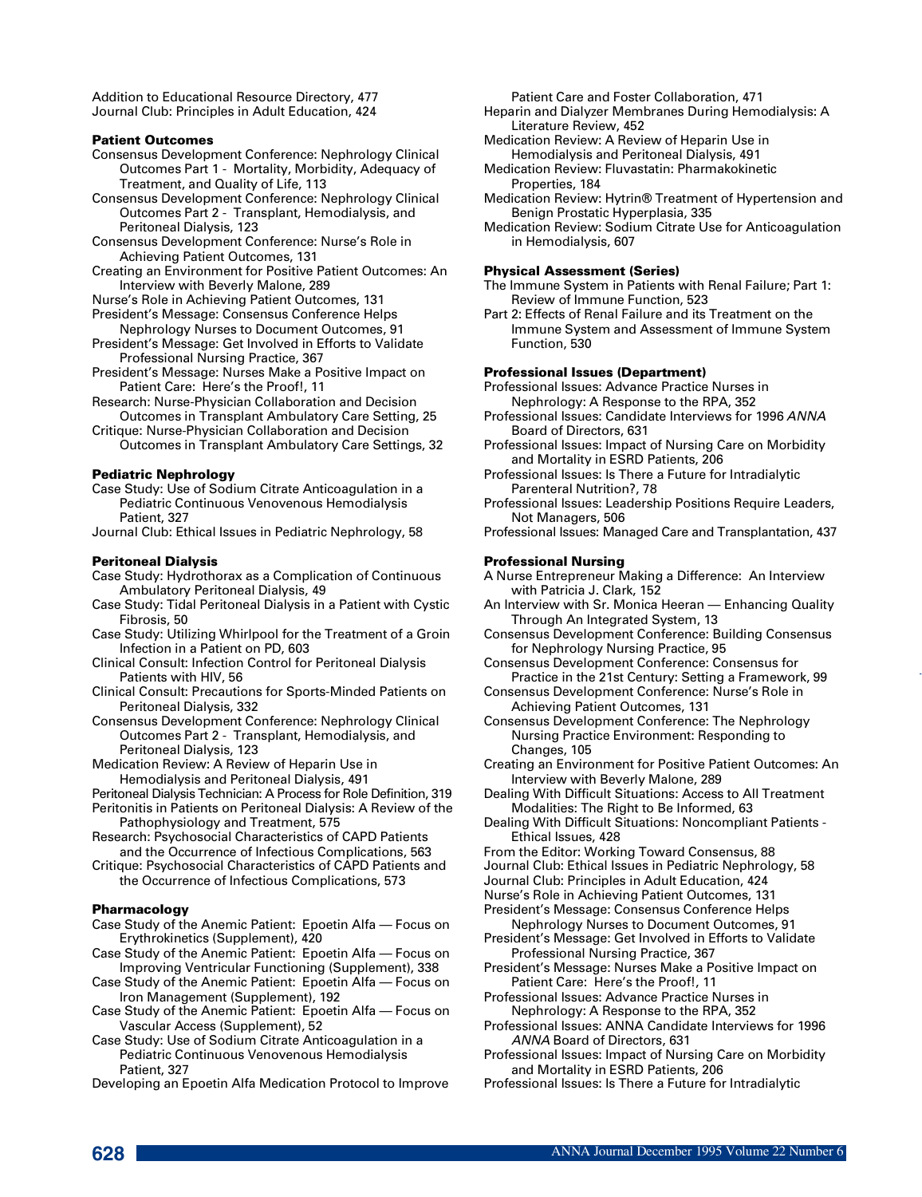Addition to Educational Resource Directory, 477 Journal Club: Principles in Adult Education, 424

## Patient Outcomes

- Consensus Development Conference: Nephrology Clinical Outcomes Part 1 - Mortality, Morbidity, Adequacy of Treatment, and Quality of Life, 113
- Consensus Development Conference: Nephrology Clinical Outcomes Part 2 - Transplant, Hemodialysis, and Peritoneal Dialysis, 123
- Consensus Development Conference: Nurse's Role in Achieving Patient Outcomes, 131
- Creating an Environment for Positive Patient Outcomes: An Interview with Beverly Malone, 289
- Nurse's Role in Achieving Patient Outcomes, 131
- President's Message: Consensus Conference Helps Nephrology Nurses to Document Outcomes, 91
- President's Message: Get Involved in Efforts to Validate Professional Nursing Practice, 367
- President's Message: Nurses Make a Positive Impact on Patient Care: Here's the Proof!, 11
- Research: Nurse-Physician Collaboration and Decision Outcomes in Transplant Ambulatory Care Setting, 25
- Critique: Nurse-Physician Collaboration and Decision Outcomes in Transplant Ambulatory Care Settings, 32

## Pediatric Nephrology

- Case Study: Use of Sodium Citrate Anticoagulation in a Pediatric Continuous Venovenous Hemodialysis Patient, 327
- Journal Club: Ethical Issues in Pediatric Nephrology, 58

#### Peritoneal Dialysis

- Case Study: Hydrothorax as a Complication of Continuous Ambulatory Peritoneal Dialysis, 49
- Case Study: Tidal Peritoneal Dialysis in a Patient with Cystic Fibrosis, 50
- Case Study: Utilizing Whirlpool for the Treatment of a Groin Infection in a Patient on PD, 603
- Clinical Consult: Infection Control for Peritoneal Dialysis Patients with HIV, 56
- Clinical Consult: Precautions for Sports-Minded Patients on Peritoneal Dialysis, 332
- Consensus Development Conference: Nephrology Clinical Outcomes Part 2 - Transplant, Hemodialysis, and Peritoneal Dialysis, 123
- Medication Review: A Review of Heparin Use in Hemodialysis and Peritoneal Dialysis, 491
- Peritoneal Dialysis Technician: A Process for Role Definition, 319
- Peritonitis in Patients on Peritoneal Dialysis: A Review of the Pathophysiology and Treatment, 575
- Research: Psychosocial Characteristics of CAPD Patients and the Occurrence of Infectious Complications, 563
- Critique: Psychosocial Characteristics of CAPD Patients and the Occurrence of Infectious Complications, 573

#### Pharmacology

- Case Study of the Anemic Patient: Epoetin Alfa Focus on Erythrokinetics (Supplement), 420
- Case Study of the Anemic Patient: Epoetin Alfa Focus on Improving Ventricular Functioning (Supplement), 338
- Case Study of the Anemic Patient: Epoetin Alfa Focus on Iron Management (Supplement), 192
- Case Study of the Anemic Patient: Epoetin Alfa Focus on Vascular Access (Supplement), 52
- Case Study: Use of Sodium Citrate Anticoagulation in a Pediatric Continuous Venovenous Hemodialysis Patient, 327
- Developing an Epoetin Alfa Medication Protocol to Improve

Patient Care and Foster Collaboration, 471

- Heparin and Dialyzer Membranes During Hemodialysis: A Literature Review, 452
- Medication Review: A Review of Heparin Use in Hemodialysis and Peritoneal Dialysis, 491
- Medication Review: Fluvastatin: Pharmakokinetic Properties, 184
- Medication Review: Hytrin® Treatment of Hypertension and Benign Prostatic Hyperplasia, 335
- Medication Review: Sodium Citrate Use for Anticoagulation in Hemodialysis, 607

#### Physical Assessment (Series)

The Immune System in Patients with Renal Failure; Part 1: Review of Immune Function, 523

Part 2: Effects of Renal Failure and its Treatment on the Immune System and Assessment of Immune System Function, 530

## Professional Issues (Department)

- Professional Issues: Advance Practice Nurses in Nephrology: A Response to the RPA, 352
- Professional Issues: Candidate Interviews for 1996 ANNA Board of Directors, 631
- Professional Issues: Impact of Nursing Care on Morbidity and Mortality in ESRD Patients, 206
- Professional Issues: Is There a Future for Intradialytic Parenteral Nutrition?, 78
- Professional Issues: Leadership Positions Require Leaders, Not Managers, 506
- Professional Issues: Managed Care and Transplantation, 437

#### Professional Nursing

- A Nurse Entrepreneur Making a Difference: An Interview with Patricia J. Clark, 152
- An Interview with Sr. Monica Heeran Enhancing Quality Through An Integrated System, 13
- Consensus Development Conference: Building Consensus for Nephrology Nursing Practice, 95
- Consensus Development Conference: Consensus for Practice in the 21st Century: Setting a Framework, 99
- Consensus Development Conference: Nurse's Role in Achieving Patient Outcomes, 131
- Consensus Development Conference: The Nephrology Nursing Practice Environment: Responding to Changes, 105
- Creating an Environment for Positive Patient Outcomes: An Interview with Beverly Malone, 289
- Dealing With Difficult Situations: Access to All Treatment Modalities: The Right to Be Informed, 63
- Dealing With Difficult Situations: Noncompliant Patients Ethical Issues, 428
- From the Editor: Working Toward Consensus, 88
- Journal Club: Ethical Issues in Pediatric Nephrology, 58
- Journal Club: Principles in Adult Education, 424
- Nurse's Role in Achieving Patient Outcomes, 131
- President's Message: Consensus Conference Helps Nephrology Nurses to Document Outcomes, 91
- President's Message: Get Involved in Efforts to Validate Professional Nursing Practice, 367
- President's Message: Nurses Make a Positive Impact on Patient Care: Here's the Proof!, 11
- Professional Issues: Advance Practice Nurses in Nephrology: A Response to the RPA, 352
- Professional Issues: ANNA Candidate Interviews for 1996 *A N N A* Board of Directors, 631
- Professional Issues: Impact of Nursing Care on Morbidity and Mortality in ESRD Patients, 206
- Professional Issues: Is There a Future for Intradialytic